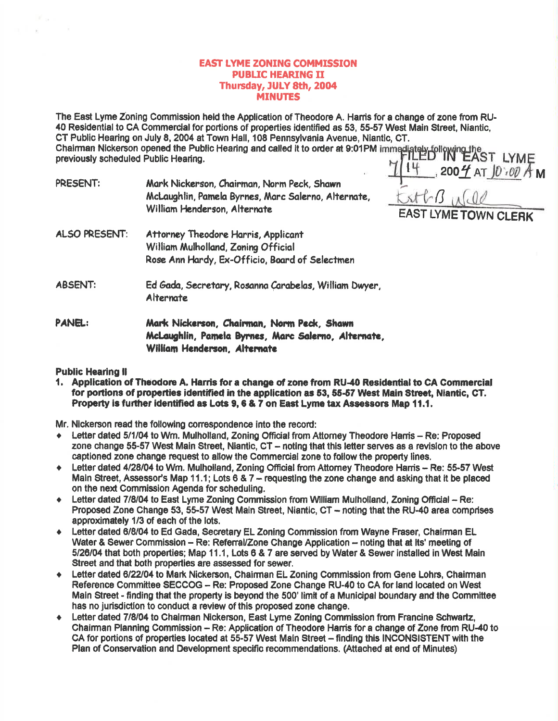# **EAST LYME ZONING COMMISSION PUBLIC HEARING II** Thursday, JULY 8th, 2004 **MINUTES**

The East Lyme Zoning Commission held the Application of Theodore A. Harris for a change of zone from RU-40 Residential to CA Commercial for portions of properties identified as 53, 55-57 West Main Street, Niantic, CT Public Hearing on July 8, 2004 at Town Hall, 108 Pennsylvania Avenue, Niantic, CT. CT Public Hearing on July 8, 2004 at Town Frail, Too Found, Concern at 9:01PM immediately following the<br>Chairman Nickerson opened the Public Hearing and called it to order at 9:01PM immediately following the

PRESENT: Mark Nickerson, Chairman, Norm Peck, Shawn McLaughlin, Pamela Byrnes, Marc Salerno, Alternate, William Henderson, Alternate

 $14.2004$  AT  $10.004$  M  $strG$   $00$ **EAST LYME TOWN CLERK** 

- ALSO PRESENT: Attorney Theodore Harris, Applicant William Mulholland, Zoning Official Rose Ann Hardy, Ex-Officio, Board of Selectmen
- **ABSENT:** Ed Gada, Secretary, Rosanna Carabelas, William Dwyer, **Alternate**

**PANEL:** Mark Nickerson, Chairman, Norm Peck, Shawn McLaughlin, Pamela Byrnes, Marc Salerno, Alternate, William Henderson, Alternate

# **Public Hearing II**

1. Application of Theodore A. Harris for a change of zone from RU-40 Residential to CA Commercial for portions of properties identified in the application as 53, 55-57 West Main Street, Niantic, CT. Property is further identified as Lots 9, 6 & 7 on East Lyme tax Assessors Map 11.1.

Mr. Nickerson read the following correspondence into the record:

- Letter dated 5/1/04 to Wm. Mulholland, Zoning Official from Attorney Theodore Hamis Re: Proposed zone change 55-57 West Main Street, Niantic, CT - noting that this letter serves as a revision to the above captioned zone change request to allow the Commercial zone to follow the property lines.
- Letter dated 4/28/04 to Wm. Mulholland, Zoning Official from Attorney Theodore Harris Re: 55-57 West  $\bullet$ Main Street, Assessor's Map 11.1; Lots 6 & 7 – requesting the zone change and asking that it be placed on the next Commission Agenda for scheduling.
- Letter dated 7/8/04 to East Lyme Zoning Commission from William Mulholland, Zoning Official Re:  $\bullet$ Proposed Zone Change 53, 55-57 West Main Street, Niantic, CT - noting that the RU-40 area comprises approximately 1/3 of each of the lots.
- Letter dated 6/8/04 to Ed Gada, Secretary EL Zoning Commission from Wayne Fraser, Chairman EL Water & Sewer Commission – Re: Referral/Zone Change Application – noting that at Its' meeting of 5/26/04 that both properties; Map 11.1, Lots 6 & 7 are served by Water & Sewer installed in West Main Street and that both properties are assessed for sewer.
- Letter dated 6/22/04 to Mark Nickerson, Chairman EL Zoning Commission from Gene Lohrs, Chairman  $\bullet$ Reference Committee SECCOG - Re: Proposed Zone Change RU-40 to CA for land located on West Main Street - finding that the property is beyond the 500' limit of a Municipal boundary and the Committee has no jurisdiction to conduct a review of this proposed zone change.
- Letter dated 7/8/04 to Chairman Nickerson, East Lyme Zoning Commission from Francine Schwartz,  $\bullet$ Chairman Planning Commission - Re: Application of Theodore Harris for a change of Zone from RU-40 to CA for portions of properties located at 55-57 West Main Street - finding this INCONSISTENT with the Plan of Conservation and Development specific recommendations. (Attached at end of Minutes)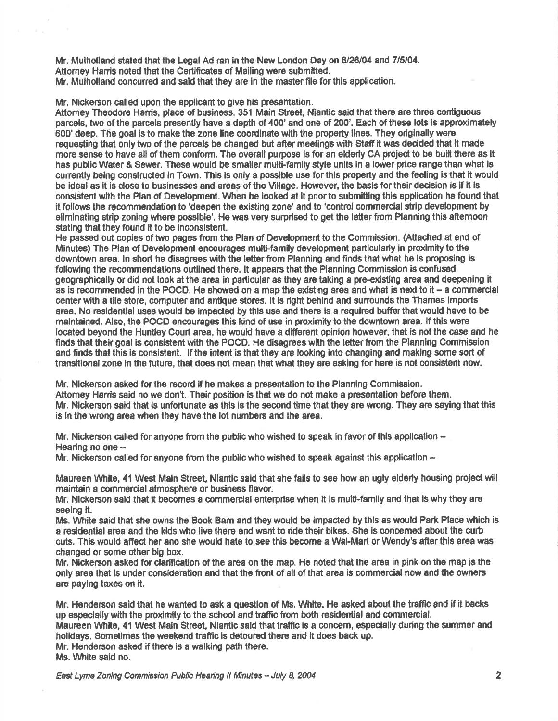Mr. Mulholland stated that the Legal Ad ran in the New London Day on 6/26/04 and 7/5/04. Attomey Harris noted that the Certificates of Mailing were submitted. Mr. Mulholland concurred and said that they are in the master file for this application.

Mr. Nickerson called upon the applicant to give his presentation.

Attorney Theodore Harris, place of business, 351 Main Street, Niantic said that there are three contiguous parcels, two of the parcels presently have a depth of 400' and one of 200'. Each of these lots is approximately 600' deep. The goal is to make the zone line coordinate with the property lines. They originally were requesting that only two of the parcels be changed but after meetings with Staff it was decided that it made more sense to have all of them conform. The overall purpose is for an elderly CA project to be built there as lt has public Water & Sewer. These would be smaller multi-family style units in a lower price range than what is cunently being oonstruded ln Town. Thls is only a possible use forthls property and the feeling is that it would be ideal as it is close to businesses and areas of the Village. However, the basis for their decision is if it is consistent with the Plan of Development. When he looked at it prior to submitting this application he found that it follows the recommendation to 'deepen the existing zone' and to 'control commercial strip development by eliminating strip zoning where possible'. He was very surprised to get the letter from Planning this afternoon stating that they found it to be inconsistent.

He passed out oopies of two pages from the Plan of Developnent to the Commission. (Attached at end of Minutes) The Plan of Development encourages mufii-family development partlcularly in proximity to the downtown area. ln short he disagrees with the letterfiom Planning and finds that what he is proposing is following the recommendations outlined there. It appears that the Planning Commission is confused geographically or did not look at the area in particular as they are taking a pre-existing area and deepening it as is recommended in the POCD. He showed on a map the existing area and what is next to it  $-$  a commercial center with a tile store, computer and antique stores. It is right behind and surrounds the Thames Imports area. No residential uses would be impacted by this use and there is a required buffer that would have to be maintained. Also, the POCD encourages this kind of use in proximity to the downtown area. If this were located beyond the Huntley Court area, he would have a dffierent opinion however, that is not the case and he finds that their goal is consistent with the POCD. He disagrees with the letter from the Planning Commission and finds that this ls conslstent. lf the intent is that they are looklng into changing and making some sort of transitional zone in the future, that does not mean that what they are asking for here is not consistent now.

Mr. Nickerson asked for the record if he makes a presentation to the Planning Commission. Attomey Harris said no we don't. Their position is that we do not make a presentation before them. Mr. Nickerson said that is unfortunate as this is the second time that they are wrong. They are saying that this is in the wrong area when they have the lot numbers and the area.

Mr. Nickerson called for anyone from the public who wished to speak in favor of this application -Hearing no one --

Mr. Nickerson called for anyone from the public who wished to speak against this application  $-$ 

Maureen White, 41 West Main Street, Niantic said that she fails to see how an ugly elderly housing project will maintain a commercial atmosphere or business flavor.

Mr. Nickerson said that it becomes a commercial enterprise when it is multi-family and that is why they are seeing it.

Ms. White said that she owns the Book Barn and they would be impacted by this as would Park Place which is a resldential area and the klds who live there and want to ride their bikes. She is concemed about the curb cuts. This would affect her and she would hate to see this become a Wal-Mart or Wendy's after this area was changed or some other big box,

Mr, Nickerson asked for clarification of the aree on the map. He noted that the area in pink on the map is the only area that is under consideration and that the front of all of that area ig commercial now and the owners are paying taxes on it.

Mr. Henderson said that he wanted to ask a question of Ms. White. He asked about the traffic and if it backs up especially with the proximtty to the school and traffio from both residential and commercial. Maureen White, 41 West Main Street, Niantic said that traffic is a concem, especially during the summer and holidays. Sometimes the weekend traffic is detoured there and it does back up. Mr. Henderson asked if there is a walking path there. Ms. White said no.

East Lyme Zoning Commission Public Hearing II Minutes - July 8, 2004 2004 2005 2009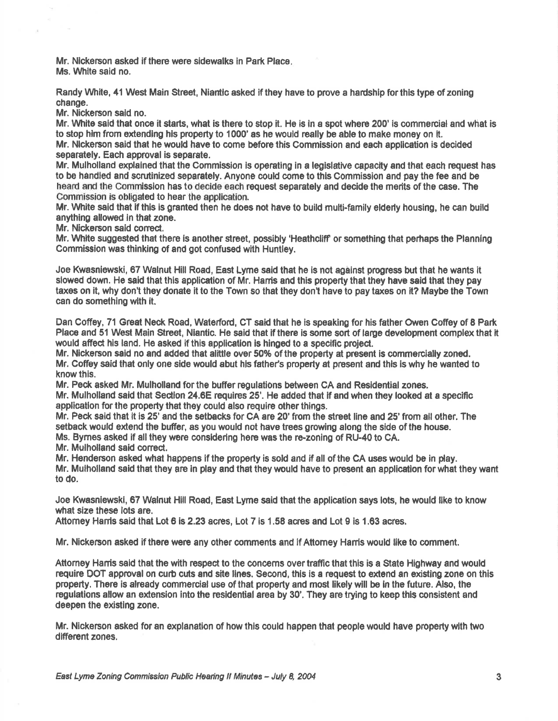Mr. Nickerson asked if there were sidewalks in Park Place. Ms. White said no.

Randy White, 41 West Main Street, Niantic asked if they have to prove a hardship for this type of zoning change.

Mr. Nickerson sald no.

Mr. White said that once it starts, what is there to stop it. He is in a spot where 200' is commercial and what is to stop him from extending his property to 1000' as he would really be able to make money on it. Mr. Nlckerson said that he would have to come before this Commission and each appllcation is decided separately. Eech approval is separate.

Mr. Mulholland explained that the Commission is operating in a legislative capacity and that each request has to be hdndled and ecrutlnized separately. Anyone could come to this Gommiseion and pay the fee and be heard and the Commission has to decide each request separately and decide the merits of the case. The Commission is obligated to hear the application.

Mr. White said that if this is granted then he does not have to build multi-family elderly housing, he can build anything allowed in that zone.

Mr. Nickerson said correct.

Mr. White suggested that there is another street, possibly 'Heathcliff' or something that perhaps the Planning Commission was thinking of end got confused with Huntley.

Joe Kwasniewski, 67 Walnut Hill Road, East Lyme said that he is not against progress but that he wants it slowed down. He said that this application of Mr. Harris and this property that they have said that they pay taxes on it, why don't they donate it to the Town so that they don't have to pay taxes on it? Maybe the Town can do something with it.

Dan Coffey, 71 Great Neck Road, Waterford, CT said that he is speaking for his father Owen Coffey of 8 Park Place and 51 West Main Street, Nlantic. He said that if there is some sort of large development complex that it would affect his land. He asked if this application is hinged to a specific project.

Mr. Nickerson said no and added that alittle over 50% of the property at present is commercially zoned. Mr. Coffey said that only one side would abut his father's property at present and this is why he wanted to knowthis.

Mr. Peck asked Mr. Mulholland for the buffer regulations between CA and Residential zones.

Mr. Mulholland said that Section 24.6E requires 25'. He added that if and when they looked at a specific application for the property that they could also require other things.

Mr. Peck said that it is 25' and the setbacks for CA are 20' from the street line and 25' from all other. The setback would extend the buffer, as you would not have trees growing along the side of the house.

Ms. Byrnes asked if all they were considering here was the re-zoning of RU-40 to CA.

Mr. Mulholland said correct.

Mr. Henderson asked what happens if the property is sold and if all of the CA uses would be in play.

Mr. Mulholland said that they are in play and that they would have to present an application for what they want to do.

Joe Kwasniewski, 67 Walnut Hill Road, East Lyme said that the application says lots, he would like to know what size these lots are.

Attorney Harris said that Lot 6 is 2.23 acres, Lot 7 is 1.58 acres and Lot 9 is 1.63 acres.

Mr. Nickerson asked if there were any other comments and if Attomey Harris would like to comment.

Attorney Harris said that the with respect to the concerns over traffic that this is a State Highway and would require DOT approval on curb cuts and site llnes. Second, thls is a request to extend an existlng zone on this propeny, There is already commercial use of that property and most likelywlll be ln the future. Also, the regulations allow an extension into the residential area by 30'. They are trying to keep this consistent and deepen the existlng zone.

Mr. Nickerson asked for an explanation of how this could happen that people would have property wlth two different zones.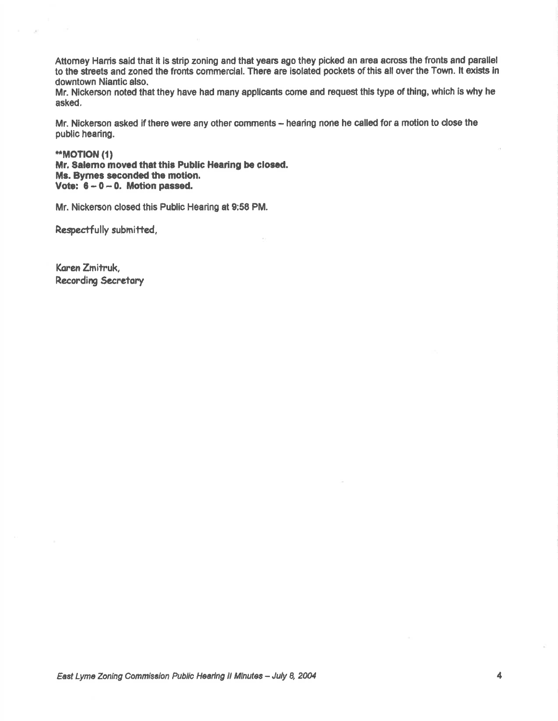Attomey Harris said that it is strip zoning and that years ago they picked an area across the fronts and parallel to the streets and zoned the fronts commercial. There are isolated pockets of this all over the Town. It exists in downtown Niantic also.

Mr. Nickerson noted that they have had many applicants come and request this type of thing, which is why he asked.

Mr. Nickerson asked if there were any other comments - hearing none he called for a motion to close the public hearing.

\*\*MOTION (1)

Mr. Salemo moved that this Public Hearing be closed. Ms. Byrnes seconded the motion. Vote:  $6 - 0 - 0$ . Motion passed.

Mr. Nickerson closed this Public Hearing at 9:58 PM.

Respectfully submitted,

Karen Zmitruk, **Recording Secretary**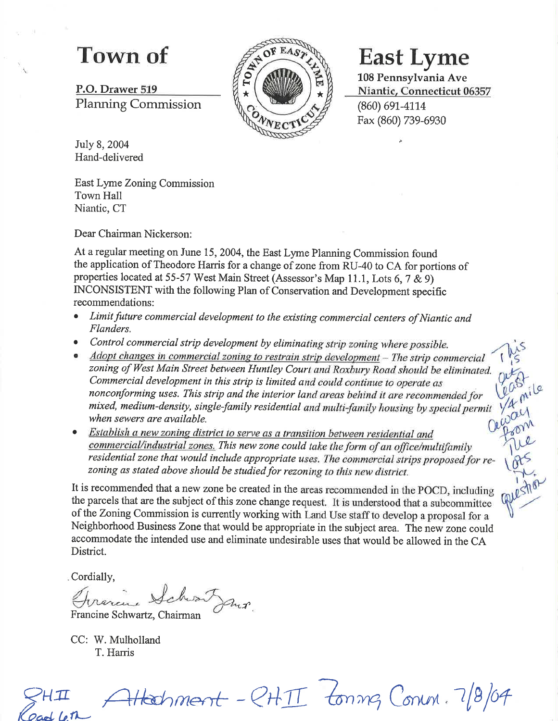P.O. Drawer 519 Planning Commission



L08 Pennsylvania Ave Niantic, Connecticut 06357 (860) 691-4114 Fax (860) 739-6930

 $W_{\rm{on}}'$ 

July 8, 2004 Hand-delivered

East Lyme Zoning Commission Town Hall Niantic, CT

Dear Chairman Nickerson:

At a regular meeting on June 15, 2004, the East Lyme Planning Commission found the application of Theodore Harris for a change of zone from RU-40 to CA for portions of properties located at 55-57 West Main Street (Assessor's Map 11.1, Lots 6,7 & g) INCONSISTENT with the following Plan of Conservation and Development specific recommendations:

- Limit future commercial development to the existing commercial centers of Niantic and Flanders.
- 
- Control commercial strip development by eliminating strip zoning where possible.<br>
Adopt changes in commercial zoning to restrain strip development The strip commercial<br>
zoning of West Main Street between Huntley Court nonconforming uses. This strip and the interior land areas behind it are recommended for mixed, medium-density, single-family residential and multi-family housing by special permit when sewers are available.
- "r, Establish a new zoning district to serve as a transition between residential and<br>commercial/industrial zones. This new zone could take the form of an office/multifamily residential zone that would include appropriate uses. The commercial strips proposed for re-<br>zoning as stated above should be studied for rezoning to this new district.

It is recommended that a new zone be created in the areas recommended in the POCD, including the parcels that are the subject of this zone change request. It is understood that a subcommittee of the Zoning Commission is currently working with Land Use staff to develop a proposal for a Neighborhood Business Zone that would be appropriate in the subject area. The new zone could accommodate the intended use and eliminate undesirable uses that would be allowed in the CA District.

Cordially,

Francine Schwartz, Chairman  $\boldsymbol{\eta}$ 

CC: W. Mulholland T. Harris

 $\mathcal{G}$ HII

 $\exists$ Hachment -  $\mathcal{C}$ HII tonng Conn. 7/8/04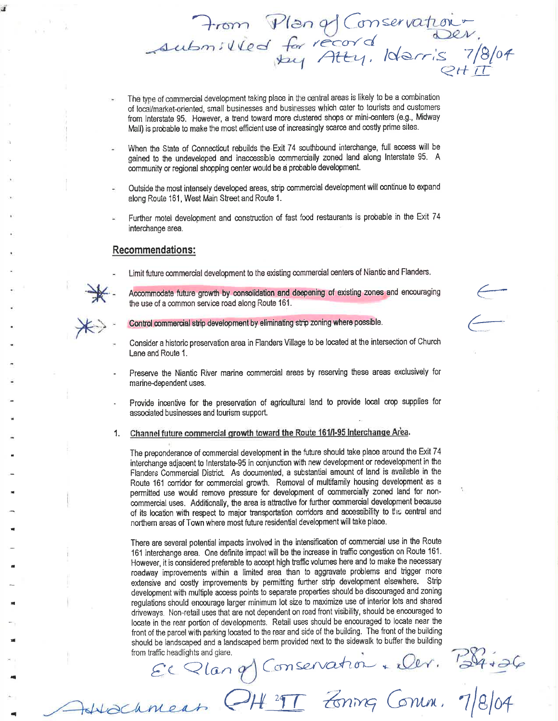The type of commercial development taking place in the central areas is likely to be a combination of local/market-oriented, small businesses and businesses which cater to tourists and customers from Interstate 95. However, a trend toward more clustered shops or mini-centers (e.g., Midway Mall) is probable to make the most efficient use of increasingly scarce and costly prime sites.

From Plan of Conservation

- When the State of Connecticut rebuilds the Exit 74 southbound interchange, full access will be gained to the undeveloped and inaccessible commercially zoned land along Interstate 95. A community or regional shopping center would be a probable development.
- Outside the most intensely developed areas, strip commercial development will continue to expand along Route 161, West Main Street and Route 1.
- Further motel development and construction of fast food restaurants is probable in the Exit 74 interchange area.

### **Recommendations:**



Limit future commercial development to the existing commercial centers of Niantic and Flanders.

Accommodate future growth by consolidation and deepening of existing zones and encouraging the use of a common service road along Route 161.

- Control commercial strip development by eliminating strip zoning where possible.
- Consider a historic preservation area in Flanders Village to be located at the intersection of Church Lane and Route 1.
- Preserve the Niantic River marine commercial areas by reserving these areas exclusively for marine-dependent uses.
- Provide incentive for the preservation of agricultural land to provide local crop supplies for associated businesses and tourism support.

Channel future commercial growth toward the Route 161/1-95 Interchange Area.  $1.$ 

The preponderance of commercial development in the future should take place around the Exit 74 interchange adjacent to Interstate-95 in conjunction with new development or redevelopment in the Flanders Commercial District. As documented, a substantial amount of land is available in the Route 161 corridor for commercial growth. Removal of multifamily housing development as a permitted use would remove pressure for development of commercially zoned land for noncommercial uses. Additionally, the area is attractive for further commercial development because of its location with respect to major transportation corridors and accessibility to the central and northern areas of Town where most future residential development will take place.

There are several potential impacts involved in the intensification of commercial use in the Route 161 interchange area. One definite impact will be the increase in traffic congestion on Route 161. However, it is considered preferable to accept high traffic volumes here and to make the necessary roadway improvements within a limited area than to aggravate problems and trigger more extensive and costly improvements by permitting further strip development elsewhere. Strip development with multiple access points to separate properties should be discouraged and zoning requiations should encourage larger minimum lot size to maximize use of interior lots and shared driveways. Non-retail uses that are not dependent on road front visibility, should be encouraged to locate in the rear portion of developments. Retail uses should be encouraged to locate near the front of the parcel with parking located to the rear and side of the building. The front of the building should be landscaped and a landscaped berm provided next to the sidewalk to buffer the building El Plan et Conservation - eler. B4+26 from traffic headlights and glare.